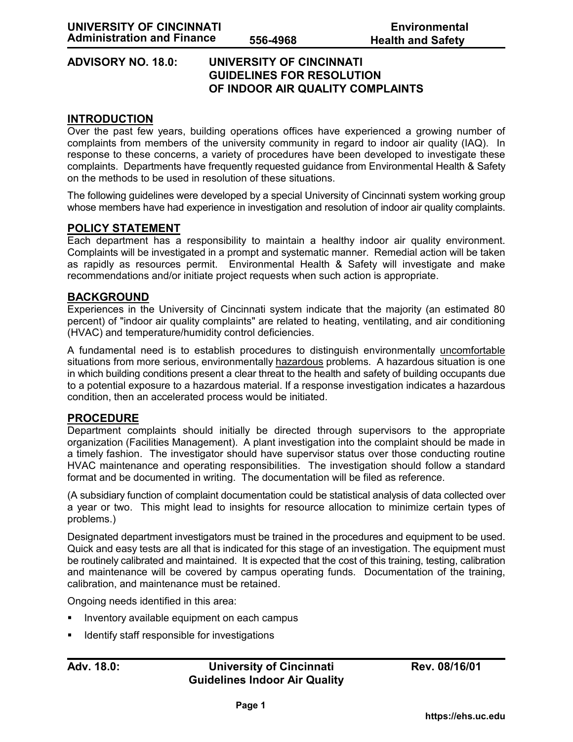# **ADVISORY NO. 18.0: UNIVERSITY OF CINCINNATI GUIDELINES FOR RESOLUTION OF INDOOR AIR QUALITY COMPLAINTS**

## **INTRODUCTION**

Over the past few years, building operations offices have experienced a growing number of complaints from members of the university community in regard to indoor air quality (IAQ). In response to these concerns, a variety of procedures have been developed to investigate these complaints. Departments have frequently requested guidance from Environmental Health & Safety on the methods to be used in resolution of these situations.

The following guidelines were developed by a special University of Cincinnati system working group whose members have had experience in investigation and resolution of indoor air quality complaints.

## **POLICY STATEMENT**

Each department has a responsibility to maintain a healthy indoor air quality environment. Complaints will be investigated in a prompt and systematic manner. Remedial action will be taken as rapidly as resources permit. Environmental Health & Safety will investigate and make recommendations and/or initiate project requests when such action is appropriate.

## **BACKGROUND**

Experiences in the University of Cincinnati system indicate that the majority (an estimated 80 percent) of "indoor air quality complaints" are related to heating, ventilating, and air conditioning (HVAC) and temperature/humidity control deficiencies.

A fundamental need is to establish procedures to distinguish environmentally uncomfortable situations from more serious, environmentally hazardous problems. A hazardous situation is one in which building conditions present a clear threat to the health and safety of building occupants due to a potential exposure to a hazardous material. If a response investigation indicates a hazardous condition, then an accelerated process would be initiated.

#### **PROCEDURE**

Department complaints should initially be directed through supervisors to the appropriate organization (Facilities Management). A plant investigation into the complaint should be made in a timely fashion. The investigator should have supervisor status over those conducting routine HVAC maintenance and operating responsibilities. The investigation should follow a standard format and be documented in writing. The documentation will be filed as reference.

(A subsidiary function of complaint documentation could be statistical analysis of data collected over a year or two. This might lead to insights for resource allocation to minimize certain types of problems.)

Designated department investigators must be trained in the procedures and equipment to be used. Quick and easy tests are all that is indicated for this stage of an investigation. The equipment must be routinely calibrated and maintained. It is expected that the cost of this training, testing, calibration and maintenance will be covered by campus operating funds. Documentation of the training, calibration, and maintenance must be retained.

Ongoing needs identified in this area:

- Inventory available equipment on each campus
- Identify staff responsible for investigations

# Adv. 18.0: *University of Cincinnati* **Rev. 08/16/01 Guidelines Indoor Air Quality**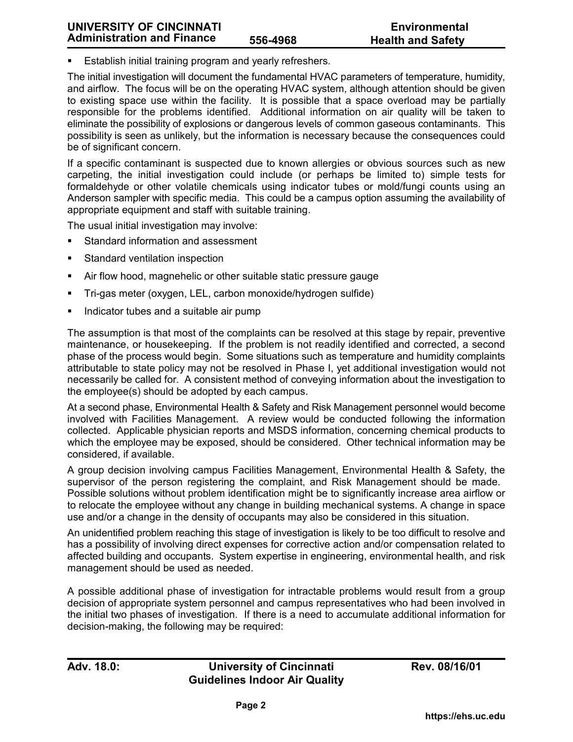Establish initial training program and yearly refreshers.

The initial investigation will document the fundamental HVAC parameters of temperature, humidity, and airflow. The focus will be on the operating HVAC system, although attention should be given to existing space use within the facility. It is possible that a space overload may be partially responsible for the problems identified. Additional information on air quality will be taken to eliminate the possibility of explosions or dangerous levels of common gaseous contaminants. This possibility is seen as unlikely, but the information is necessary because the consequences could be of significant concern.

If a specific contaminant is suspected due to known allergies or obvious sources such as new carpeting, the initial investigation could include (or perhaps be limited to) simple tests for formaldehyde or other volatile chemicals using indicator tubes or mold/fungi counts using an Anderson sampler with specific media. This could be a campus option assuming the availability of appropriate equipment and staff with suitable training.

The usual initial investigation may involve:

- Standard information and assessment
- Standard ventilation inspection
- Air flow hood, magnehelic or other suitable static pressure gauge
- Tri-gas meter (oxygen, LEL, carbon monoxide/hydrogen sulfide)
- Indicator tubes and a suitable air pump

The assumption is that most of the complaints can be resolved at this stage by repair, preventive maintenance, or housekeeping. If the problem is not readily identified and corrected, a second phase of the process would begin. Some situations such as temperature and humidity complaints attributable to state policy may not be resolved in Phase I, yet additional investigation would not necessarily be called for. A consistent method of conveying information about the investigation to the employee(s) should be adopted by each campus.

At a second phase, Environmental Health & Safety and Risk Management personnel would become involved with Facilities Management. A review would be conducted following the information collected. Applicable physician reports and MSDS information, concerning chemical products to which the employee may be exposed, should be considered. Other technical information may be considered, if available.

A group decision involving campus Facilities Management, Environmental Health & Safety, the supervisor of the person registering the complaint, and Risk Management should be made. Possible solutions without problem identification might be to significantly increase area airflow or to relocate the employee without any change in building mechanical systems. A change in space use and/or a change in the density of occupants may also be considered in this situation.

An unidentified problem reaching this stage of investigation is likely to be too difficult to resolve and has a possibility of involving direct expenses for corrective action and/or compensation related to affected building and occupants. System expertise in engineering, environmental health, and risk management should be used as needed.

A possible additional phase of investigation for intractable problems would result from a group decision of appropriate system personnel and campus representatives who had been involved in the initial two phases of investigation. If there is a need to accumulate additional information for decision-making, the following may be required: